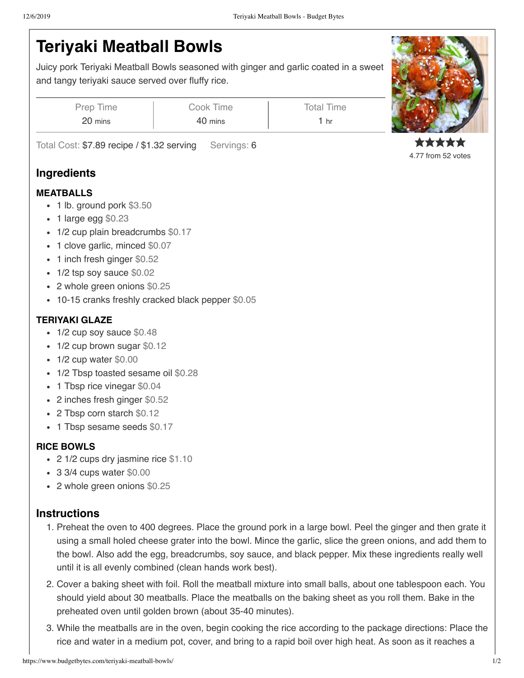# **Teriyaki Meatball Bowls**

Juicy pork Teriyaki Meatball Bowls seasoned with ginger and garlic coated in a sweet and tangy teriyaki sauce served over fluffy rice.

| Prep Time | Cook Time | <b>Total Time</b> |
|-----------|-----------|-------------------|
| 20 mins   | 40 mins   | 1 hr              |

Total Cost: \$7.89 recipe / \$1.32 serving Servings: 6

## **Ingredients**

#### **MEATBALLS**

- 1 lb. ground pork \$3.50
- 1 large egg \$0.23
- 1/2 cup plain breadcrumbs \$0.17
- 1 clove garlic, minced \$0.07
- 1 inch fresh ginger \$0.52
- 1/2 tsp soy sauce \$0.02
- 2 whole green onions \$0.25
- 10-15 cranks freshly cracked black pepper \$0.05

### **TERIYAKI GLAZE**

- 1/2 cup soy sauce \$0.48
- 1/2 cup brown sugar \$0.12
- $\cdot$  1/2 cup water \$0.00
- 1/2 Tbsp toasted sesame oil \$0.28
- 1 Tbsp rice vinegar \$0.04
- 2 inches fresh ginger \$0.52
- 2 Tbsp corn starch \$0.12
- 1 Tbsp sesame seeds \$0.17

### **RICE BOWLS**

- 2 1/2 cups dry jasmine rice \$1.10
- 3 3/4 cups water \$0.00
- 2 whole green onions \$0.25

### **Instructions**

- 1. Preheat the oven to 400 degrees. Place the ground pork in a large bowl. Peel the ginger and then grate it using a small holed cheese grater into the bowl. Mince the garlic, slice the green onions, and add them to the bowl. Also add the egg, breadcrumbs, soy sauce, and black pepper. Mix these ingredients really well until it is all evenly combined (clean hands work best).
- 2. Cover a baking sheet with foil. Roll the meatball mixture into small balls, about one tablespoon each. You should yield about 30 meatballs. Place the meatballs on the baking sheet as you roll them. Bake in the preheated oven until golden brown (about 35-40 minutes).
- 3. While the meatballs are in the oven, begin cooking the rice according to the package directions: Place the rice and water in a medium pot, cover, and bring to a rapid boil over high heat. As soon as it reaches a



4.77 from 52 votes